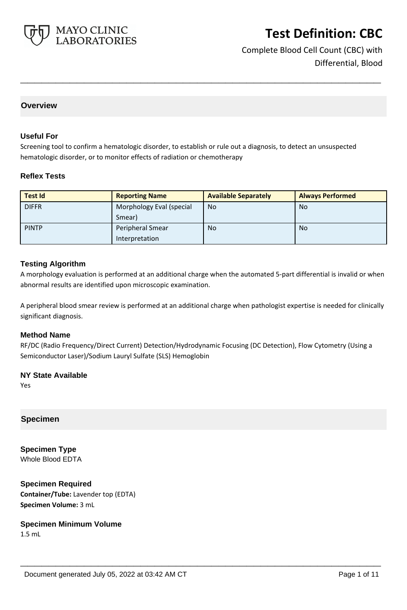

Complete Blood Cell Count (CBC) with Differential, Blood

## **Overview**

#### **Useful For**

Screening tool to confirm a hematologic disorder, to establish or rule out a diagnosis, to detect an unsuspected hematologic disorder, or to monitor effects of radiation or chemotherapy

**\_\_\_\_\_\_\_\_\_\_\_\_\_\_\_\_\_\_\_\_\_\_\_\_\_\_\_\_\_\_\_\_\_\_\_\_\_\_\_\_\_\_\_\_\_\_\_\_\_\_\_**

#### **Reflex Tests**

| <b>Test Id</b> | <b>Reporting Name</b>    | <b>Available Separately</b> | <b>Always Performed</b> |
|----------------|--------------------------|-----------------------------|-------------------------|
| <b>DIFFR</b>   | Morphology Eval (special | <b>No</b>                   | <b>No</b>               |
|                | Smear)                   |                             |                         |
| <b>PINTP</b>   | Peripheral Smear         | <b>No</b>                   | <b>No</b>               |
|                | Interpretation           |                             |                         |

#### **Testing Algorithm**

A morphology evaluation is performed at an additional charge when the automated 5-part differential is invalid or when abnormal results are identified upon microscopic examination.

A peripheral blood smear review is performed at an additional charge when pathologist expertise is needed for clinically significant diagnosis.

#### **Method Name**

RF/DC (Radio Frequency/Direct Current) Detection/Hydrodynamic Focusing (DC Detection), Flow Cytometry (Using a Semiconductor Laser)/Sodium Lauryl Sulfate (SLS) Hemoglobin

**\_\_\_\_\_\_\_\_\_\_\_\_\_\_\_\_\_\_\_\_\_\_\_\_\_\_\_\_\_\_\_\_\_\_\_\_\_\_\_\_\_\_\_\_\_\_\_\_\_\_\_**

### **NY State Available**

Yes

### **Specimen**

**Specimen Type** Whole Blood EDTA

**Specimen Required Container/Tube:** Lavender top (EDTA) **Specimen Volume:** 3 mL

**Specimen Minimum Volume** 1.5 mL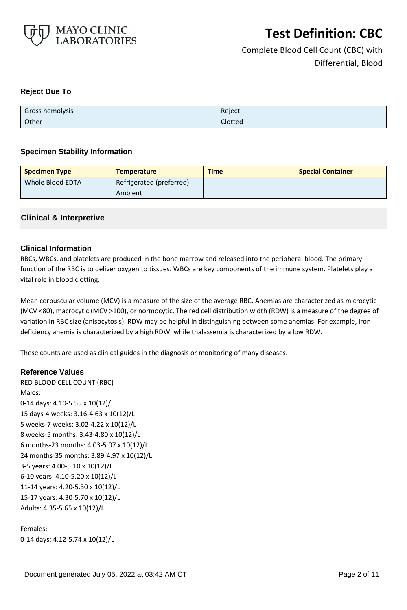

Complete Blood Cell Count (CBC) with Differential, Blood

### **Reject Due To**

| Gross hemolysis | Reject  |
|-----------------|---------|
| Other           | Clotted |

**\_\_\_\_\_\_\_\_\_\_\_\_\_\_\_\_\_\_\_\_\_\_\_\_\_\_\_\_\_\_\_\_\_\_\_\_\_\_\_\_\_\_\_\_\_\_\_\_\_\_\_**

### **Specimen Stability Information**

| <b>Specimen Type</b> | <b>Temperature</b>       | <b>Time</b> | <b>Special Container</b> |
|----------------------|--------------------------|-------------|--------------------------|
| Whole Blood EDTA     | Refrigerated (preferred) |             |                          |
|                      | Ambient                  |             |                          |

## **Clinical & Interpretive**

### **Clinical Information**

RBCs, WBCs, and platelets are produced in the bone marrow and released into the peripheral blood. The primary function of the RBC is to deliver oxygen to tissues. WBCs are key components of the immune system. Platelets play a vital role in blood clotting.

Mean corpuscular volume (MCV) is a measure of the size of the average RBC. Anemias are characterized as microcytic (MCV <80), macrocytic (MCV >100), or normocytic. The red cell distribution width (RDW) is a measure of the degree of variation in RBC size (anisocytosis). RDW may be helpful in distinguishing between some anemias. For example, iron deficiency anemia is characterized by a high RDW, while thalassemia is characterized by a low RDW.

**\_\_\_\_\_\_\_\_\_\_\_\_\_\_\_\_\_\_\_\_\_\_\_\_\_\_\_\_\_\_\_\_\_\_\_\_\_\_\_\_\_\_\_\_\_\_\_\_\_\_\_**

These counts are used as clinical guides in the diagnosis or monitoring of many diseases.

### **Reference Values**

RED BLOOD CELL COUNT (RBC) Males: 0-14 days: 4.10-5.55 x 10(12)/L 15 days-4 weeks: 3.16-4.63 x 10(12)/L 5 weeks-7 weeks: 3.02-4.22 x 10(12)/L 8 weeks-5 months: 3.43-4.80 x 10(12)/L 6 months-23 months: 4.03-5.07 x 10(12)/L 24 months-35 months: 3.89-4.97 x 10(12)/L 3-5 years: 4.00-5.10 x 10(12)/L 6-10 years: 4.10-5.20 x 10(12)/L 11-14 years: 4.20-5.30 x 10(12)/L 15-17 years: 4.30-5.70 x 10(12)/L Adults: 4.35-5.65 x 10(12)/L

Females: 0-14 days: 4.12-5.74 x 10(12)/L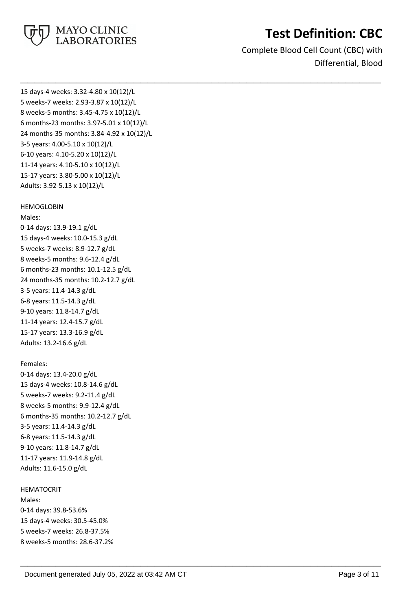

Complete Blood Cell Count (CBC) with Differential, Blood

**\_\_\_\_\_\_\_\_\_\_\_\_\_\_\_\_\_\_\_\_\_\_\_\_\_\_\_\_\_\_\_\_\_\_\_\_\_\_\_\_\_\_\_\_\_\_\_\_\_\_\_**

**\_\_\_\_\_\_\_\_\_\_\_\_\_\_\_\_\_\_\_\_\_\_\_\_\_\_\_\_\_\_\_\_\_\_\_\_\_\_\_\_\_\_\_\_\_\_\_\_\_\_\_**

15 days-4 weeks: 3.32-4.80 x 10(12)/L 5 weeks-7 weeks: 2.93-3.87 x 10(12)/L 8 weeks-5 months: 3.45-4.75 x 10(12)/L 6 months-23 months: 3.97-5.01 x 10(12)/L 24 months-35 months: 3.84-4.92 x 10(12)/L 3-5 years: 4.00-5.10 x 10(12)/L 6-10 years: 4.10-5.20 x 10(12)/L 11-14 years: 4.10-5.10 x 10(12)/L 15-17 years: 3.80-5.00 x 10(12)/L Adults: 3.92-5.13 x 10(12)/L

#### HEMOGLOBIN

Males: 0-14 days: 13.9-19.1 g/dL 15 days-4 weeks: 10.0-15.3 g/dL 5 weeks-7 weeks: 8.9-12.7 g/dL 8 weeks-5 months: 9.6-12.4 g/dL 6 months-23 months: 10.1-12.5 g/dL 24 months-35 months: 10.2-12.7 g/dL 3-5 years: 11.4-14.3 g/dL 6-8 years: 11.5-14.3 g/dL 9-10 years: 11.8-14.7 g/dL 11-14 years: 12.4-15.7 g/dL 15-17 years: 13.3-16.9 g/dL Adults: 13.2-16.6 g/dL

#### Females:

0-14 days: 13.4-20.0 g/dL 15 days-4 weeks: 10.8-14.6 g/dL 5 weeks-7 weeks: 9.2-11.4 g/dL 8 weeks-5 months: 9.9-12.4 g/dL 6 months-35 months: 10.2-12.7 g/dL 3-5 years: 11.4-14.3 g/dL 6-8 years: 11.5-14.3 g/dL 9-10 years: 11.8-14.7 g/dL 11-17 years: 11.9-14.8 g/dL Adults: 11.6-15.0 g/dL

#### HEMATOCRIT

Males: 0-14 days: 39.8-53.6% 15 days-4 weeks: 30.5-45.0% 5 weeks-7 weeks: 26.8-37.5% 8 weeks-5 months: 28.6-37.2%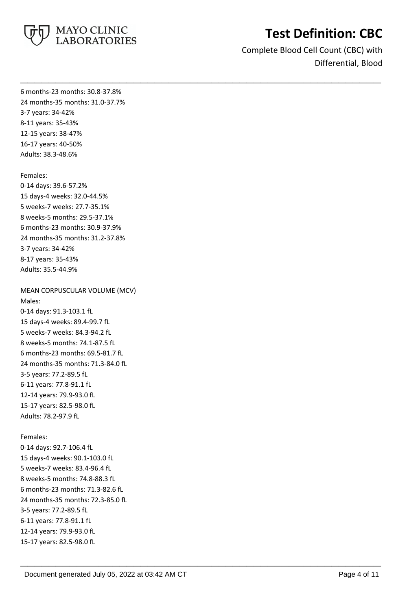

Complete Blood Cell Count (CBC) with Differential, Blood

**\_\_\_\_\_\_\_\_\_\_\_\_\_\_\_\_\_\_\_\_\_\_\_\_\_\_\_\_\_\_\_\_\_\_\_\_\_\_\_\_\_\_\_\_\_\_\_\_\_\_\_**

**\_\_\_\_\_\_\_\_\_\_\_\_\_\_\_\_\_\_\_\_\_\_\_\_\_\_\_\_\_\_\_\_\_\_\_\_\_\_\_\_\_\_\_\_\_\_\_\_\_\_\_**

6 months-23 months: 30.8-37.8% 24 months-35 months: 31.0-37.7% 3-7 years: 34-42% 8-11 years: 35-43% 12-15 years: 38-47% 16-17 years: 40-50% Adults: 38.3-48.6%

Females: 0-14 days: 39.6-57.2% 15 days-4 weeks: 32.0-44.5% 5 weeks-7 weeks: 27.7-35.1% 8 weeks-5 months: 29.5-37.1% 6 months-23 months: 30.9-37.9% 24 months-35 months: 31.2-37.8% 3-7 years: 34-42% 8-17 years: 35-43% Adults: 35.5-44.9%

MEAN CORPUSCULAR VOLUME (MCV) Males: 0-14 days: 91.3-103.1 fL 15 days-4 weeks: 89.4-99.7 fL 5 weeks-7 weeks: 84.3-94.2 fL 8 weeks-5 months: 74.1-87.5 fL 6 months-23 months: 69.5-81.7 fL 24 months-35 months: 71.3-84.0 fL 3-5 years: 77.2-89.5 fL 6-11 years: 77.8-91.1 fL 12-14 years: 79.9-93.0 fL 15-17 years: 82.5-98.0 fL Adults: 78.2-97.9 fL

Females: 0-14 days: 92.7-106.4 fL 15 days-4 weeks: 90.1-103.0 fL 5 weeks-7 weeks: 83.4-96.4 fL 8 weeks-5 months: 74.8-88.3 fL 6 months-23 months: 71.3-82.6 fL 24 months-35 months: 72.3-85.0 fL 3-5 years: 77.2-89.5 fL 6-11 years: 77.8-91.1 fL 12-14 years: 79.9-93.0 fL 15-17 years: 82.5-98.0 fL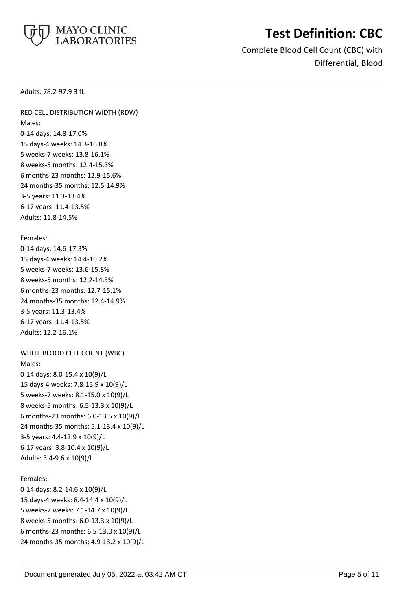

Complete Blood Cell Count (CBC) with Differential, Blood

**\_\_\_\_\_\_\_\_\_\_\_\_\_\_\_\_\_\_\_\_\_\_\_\_\_\_\_\_\_\_\_\_\_\_\_\_\_\_\_\_\_\_\_\_\_\_\_\_\_\_\_**

**\_\_\_\_\_\_\_\_\_\_\_\_\_\_\_\_\_\_\_\_\_\_\_\_\_\_\_\_\_\_\_\_\_\_\_\_\_\_\_\_\_\_\_\_\_\_\_\_\_\_\_**

Adults: 78.2-97.9 3 fL

RED CELL DISTRIBUTION WIDTH (RDW) Males: 0-14 days: 14.8-17.0% 15 days-4 weeks: 14.3-16.8% 5 weeks-7 weeks: 13.8-16.1% 8 weeks-5 months: 12.4-15.3% 6 months-23 months: 12.9-15.6% 24 months-35 months: 12.5-14.9% 3-5 years: 11.3-13.4% 6-17 years: 11.4-13.5% Adults: 11.8-14.5%

Females:

0-14 days: 14.6-17.3% 15 days-4 weeks: 14.4-16.2% 5 weeks-7 weeks: 13.6-15.8% 8 weeks-5 months: 12.2-14.3% 6 months-23 months: 12.7-15.1% 24 months-35 months: 12.4-14.9% 3-5 years: 11.3-13.4% 6-17 years: 11.4-13.5% Adults: 12.2-16.1%

```
WHITE BLOOD CELL COUNT (WBC)
Males:
0-14 days: 8.0-15.4 x 10(9)/L
15 days-4 weeks: 7.8-15.9 x 10(9)/L
5 weeks-7 weeks: 8.1-15.0 x 10(9)/L
8 weeks-5 months: 6.5-13.3 x 10(9)/L
6 months-23 months: 6.0-13.5 x 10(9)/L
24 months-35 months: 5.1-13.4 x 10(9)/L
3-5 years: 4.4-12.9 x 10(9)/L
6-17 years: 3.8-10.4 x 10(9)/L
Adults: 3.4-9.6 x 10(9)/L
```
### Females:

0-14 days: 8.2-14.6 x 10(9)/L 15 days-4 weeks: 8.4-14.4 x 10(9)/L 5 weeks-7 weeks: 7.1-14.7 x 10(9)/L 8 weeks-5 months: 6.0-13.3 x 10(9)/L 6 months-23 months: 6.5-13.0 x 10(9)/L 24 months-35 months: 4.9-13.2 x 10(9)/L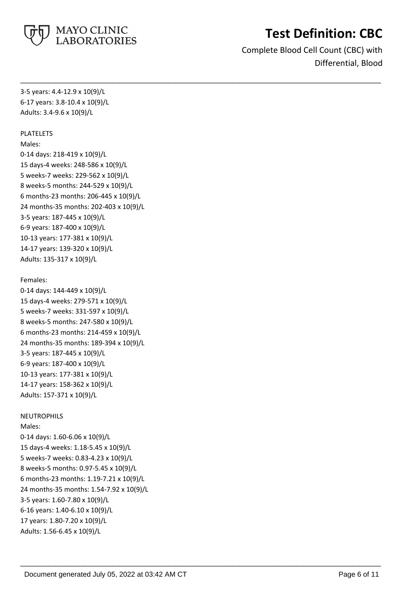

Complete Blood Cell Count (CBC) with Differential, Blood

**\_\_\_\_\_\_\_\_\_\_\_\_\_\_\_\_\_\_\_\_\_\_\_\_\_\_\_\_\_\_\_\_\_\_\_\_\_\_\_\_\_\_\_\_\_\_\_\_\_\_\_**

**\_\_\_\_\_\_\_\_\_\_\_\_\_\_\_\_\_\_\_\_\_\_\_\_\_\_\_\_\_\_\_\_\_\_\_\_\_\_\_\_\_\_\_\_\_\_\_\_\_\_\_**

3-5 years: 4.4-12.9 x 10(9)/L 6-17 years: 3.8-10.4 x 10(9)/L Adults: 3.4-9.6 x 10(9)/L

#### PLATELETS

Males:

0-14 days: 218-419 x 10(9)/L 15 days-4 weeks: 248-586 x 10(9)/L 5 weeks-7 weeks: 229-562 x 10(9)/L 8 weeks-5 months: 244-529 x 10(9)/L 6 months-23 months: 206-445 x 10(9)/L 24 months-35 months: 202-403 x 10(9)/L 3-5 years: 187-445 x 10(9)/L 6-9 years: 187-400 x 10(9)/L 10-13 years: 177-381 x 10(9)/L 14-17 years: 139-320 x 10(9)/L Adults: 135-317 x 10(9)/L

### Females:

0-14 days: 144-449 x 10(9)/L 15 days-4 weeks: 279-571 x 10(9)/L 5 weeks-7 weeks: 331-597 x 10(9)/L 8 weeks-5 months: 247-580 x 10(9)/L 6 months-23 months: 214-459 x 10(9)/L 24 months-35 months: 189-394 x 10(9)/L 3-5 years: 187-445 x 10(9)/L 6-9 years: 187-400 x 10(9)/L 10-13 years: 177-381 x 10(9)/L 14-17 years: 158-362 x 10(9)/L Adults: 157-371 x 10(9)/L

### **NEUTROPHILS**

Males:

0-14 days: 1.60-6.06 x 10(9)/L 15 days-4 weeks: 1.18-5.45 x 10(9)/L 5 weeks-7 weeks: 0.83-4.23 x 10(9)/L 8 weeks-5 months: 0.97-5.45 x 10(9)/L 6 months-23 months: 1.19-7.21 x 10(9)/L 24 months-35 months: 1.54-7.92 x 10(9)/L 3-5 years: 1.60-7.80 x 10(9)/L 6-16 years: 1.40-6.10 x 10(9)/L 17 years: 1.80-7.20 x 10(9)/L Adults: 1.56-6.45 x 10(9)/L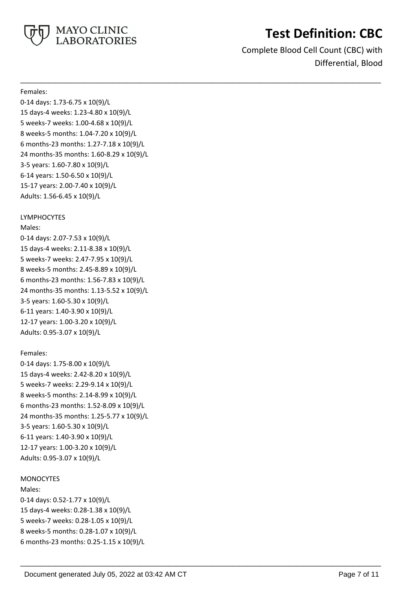

Complete Blood Cell Count (CBC) with Differential, Blood

**\_\_\_\_\_\_\_\_\_\_\_\_\_\_\_\_\_\_\_\_\_\_\_\_\_\_\_\_\_\_\_\_\_\_\_\_\_\_\_\_\_\_\_\_\_\_\_\_\_\_\_**

**\_\_\_\_\_\_\_\_\_\_\_\_\_\_\_\_\_\_\_\_\_\_\_\_\_\_\_\_\_\_\_\_\_\_\_\_\_\_\_\_\_\_\_\_\_\_\_\_\_\_\_**

#### Females:

0-14 days: 1.73-6.75 x 10(9)/L 15 days-4 weeks: 1.23-4.80 x 10(9)/L 5 weeks-7 weeks: 1.00-4.68 x 10(9)/L 8 weeks-5 months: 1.04-7.20 x 10(9)/L 6 months-23 months: 1.27-7.18 x 10(9)/L 24 months-35 months: 1.60-8.29 x 10(9)/L 3-5 years: 1.60-7.80 x 10(9)/L 6-14 years: 1.50-6.50 x 10(9)/L 15-17 years: 2.00-7.40 x 10(9)/L Adults: 1.56-6.45 x 10(9)/L

### LYMPHOCYTES

Males:

0-14 days: 2.07-7.53 x 10(9)/L 15 days-4 weeks: 2.11-8.38 x 10(9)/L 5 weeks-7 weeks: 2.47-7.95 x 10(9)/L 8 weeks-5 months: 2.45-8.89 x 10(9)/L 6 months-23 months: 1.56-7.83 x 10(9)/L 24 months-35 months: 1.13-5.52 x 10(9)/L 3-5 years: 1.60-5.30 x 10(9)/L 6-11 years: 1.40-3.90 x 10(9)/L 12-17 years: 1.00-3.20 x 10(9)/L Adults: 0.95-3.07 x 10(9)/L

## Females:

0-14 days: 1.75-8.00 x 10(9)/L 15 days-4 weeks: 2.42-8.20 x 10(9)/L 5 weeks-7 weeks: 2.29-9.14 x 10(9)/L 8 weeks-5 months: 2.14-8.99 x 10(9)/L 6 months-23 months: 1.52-8.09 x 10(9)/L 24 months-35 months: 1.25-5.77 x 10(9)/L 3-5 years: 1.60-5.30 x 10(9)/L 6-11 years: 1.40-3.90 x 10(9)/L 12-17 years: 1.00-3.20 x 10(9)/L Adults: 0.95-3.07 x 10(9)/L

### **MONOCYTES**

Males: 0-14 days: 0.52-1.77 x 10(9)/L 15 days-4 weeks: 0.28-1.38 x 10(9)/L 5 weeks-7 weeks: 0.28-1.05 x 10(9)/L 8 weeks-5 months: 0.28-1.07 x 10(9)/L 6 months-23 months: 0.25-1.15 x 10(9)/L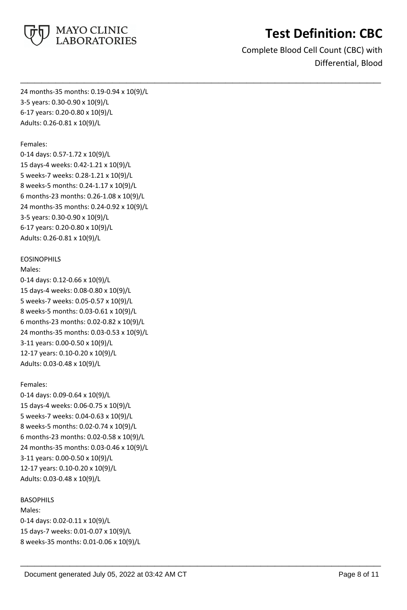

Complete Blood Cell Count (CBC) with Differential, Blood

**\_\_\_\_\_\_\_\_\_\_\_\_\_\_\_\_\_\_\_\_\_\_\_\_\_\_\_\_\_\_\_\_\_\_\_\_\_\_\_\_\_\_\_\_\_\_\_\_\_\_\_**

**\_\_\_\_\_\_\_\_\_\_\_\_\_\_\_\_\_\_\_\_\_\_\_\_\_\_\_\_\_\_\_\_\_\_\_\_\_\_\_\_\_\_\_\_\_\_\_\_\_\_\_**

24 months-35 months: 0.19-0.94 x 10(9)/L 3-5 years: 0.30-0.90 x 10(9)/L 6-17 years: 0.20-0.80 x 10(9)/L Adults: 0.26-0.81 x 10(9)/L

#### Females:

0-14 days: 0.57-1.72 x 10(9)/L 15 days-4 weeks: 0.42-1.21 x 10(9)/L 5 weeks-7 weeks: 0.28-1.21 x 10(9)/L 8 weeks-5 months: 0.24-1.17 x 10(9)/L 6 months-23 months: 0.26-1.08 x 10(9)/L 24 months-35 months: 0.24-0.92 x 10(9)/L 3-5 years: 0.30-0.90 x 10(9)/L 6-17 years: 0.20-0.80 x 10(9)/L Adults: 0.26-0.81 x 10(9)/L

#### EOSINOPHILS

Males:

0-14 days: 0.12-0.66 x 10(9)/L 15 days-4 weeks: 0.08-0.80 x 10(9)/L 5 weeks-7 weeks: 0.05-0.57 x 10(9)/L 8 weeks-5 months: 0.03-0.61 x 10(9)/L 6 months-23 months: 0.02-0.82 x 10(9)/L 24 months-35 months: 0.03-0.53 x 10(9)/L 3-11 years: 0.00-0.50 x 10(9)/L 12-17 years: 0.10-0.20 x 10(9)/L Adults: 0.03-0.48 x 10(9)/L

### Females:

0-14 days: 0.09-0.64 x 10(9)/L 15 days-4 weeks: 0.06-0.75 x 10(9)/L 5 weeks-7 weeks: 0.04-0.63 x 10(9)/L 8 weeks-5 months: 0.02-0.74 x 10(9)/L 6 months-23 months: 0.02-0.58 x 10(9)/L 24 months-35 months: 0.03-0.46 x 10(9)/L 3-11 years: 0.00-0.50 x 10(9)/L 12-17 years: 0.10-0.20 x 10(9)/L Adults: 0.03-0.48 x 10(9)/L

#### BASOPHILS

Males: 0-14 days: 0.02-0.11 x 10(9)/L 15 days-7 weeks: 0.01-0.07 x 10(9)/L 8 weeks-35 months: 0.01-0.06 x 10(9)/L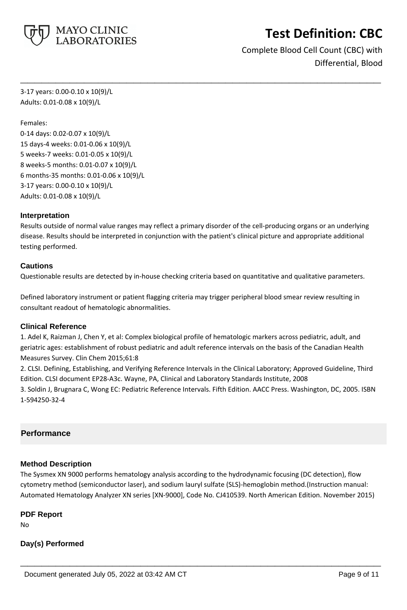

Complete Blood Cell Count (CBC) with Differential, Blood

3-17 years: 0.00-0.10 x 10(9)/L Adults: 0.01-0.08 x 10(9)/L

Females:

0-14 days: 0.02-0.07 x 10(9)/L 15 days-4 weeks: 0.01-0.06 x 10(9)/L 5 weeks-7 weeks: 0.01-0.05 x 10(9)/L 8 weeks-5 months: 0.01-0.07 x 10(9)/L 6 months-35 months: 0.01-0.06 x 10(9)/L 3-17 years: 0.00-0.10 x 10(9)/L Adults: 0.01-0.08 x 10(9)/L

### **Interpretation**

Results outside of normal value ranges may reflect a primary disorder of the cell-producing organs or an underlying disease. Results should be interpreted in conjunction with the patient's clinical picture and appropriate additional testing performed.

**\_\_\_\_\_\_\_\_\_\_\_\_\_\_\_\_\_\_\_\_\_\_\_\_\_\_\_\_\_\_\_\_\_\_\_\_\_\_\_\_\_\_\_\_\_\_\_\_\_\_\_**

#### **Cautions**

Questionable results are detected by in-house checking criteria based on quantitative and qualitative parameters.

Defined laboratory instrument or patient flagging criteria may trigger peripheral blood smear review resulting in consultant readout of hematologic abnormalities.

### **Clinical Reference**

1. Adel K, Raizman J, Chen Y, et al: Complex biological profile of hematologic markers across pediatric, adult, and geriatric ages: establishment of robust pediatric and adult reference intervals on the basis of the Canadian Health Measures Survey. Clin Chem 2015;61:8

2. CLSI. Defining, Establishing, and Verifying Reference Intervals in the Clinical Laboratory; Approved Guideline, Third Edition. CLSI document EP28-A3c. Wayne, PA, Clinical and Laboratory Standards Institute, 2008

3. Soldin J, Brugnara C, Wong EC: Pediatric Reference Intervals. Fifth Edition. AACC Press. Washington, DC, 2005. ISBN 1-594250-32-4

### **Performance**

### **Method Description**

The Sysmex XN 9000 performs hematology analysis according to the hydrodynamic focusing (DC detection), flow cytometry method (semiconductor laser), and sodium lauryl sulfate (SLS)-hemoglobin method.(Instruction manual: Automated Hematology Analyzer XN series [XN-9000], Code No. CJ410539. North American Edition. November 2015)

**\_\_\_\_\_\_\_\_\_\_\_\_\_\_\_\_\_\_\_\_\_\_\_\_\_\_\_\_\_\_\_\_\_\_\_\_\_\_\_\_\_\_\_\_\_\_\_\_\_\_\_**

### **PDF Report**

No

## **Day(s) Performed**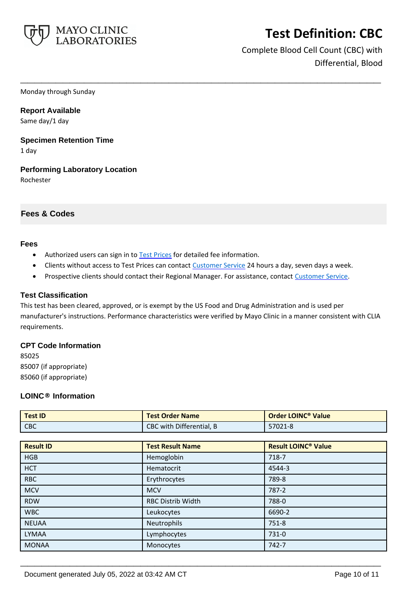

Complete Blood Cell Count (CBC) with Differential, Blood

Monday through Sunday

**Report Available** Same day/1 day

**Specimen Retention Time** 1 day

**Performing Laboratory Location** Rochester

## **Fees & Codes**

#### **Fees**

- Authorized users can sign in to [Test Prices](https://www.mayocliniclabs.com/customer-service/client-price-lookup/index.html?unit_code=CBC) for detailed fee information.
- Clients without access to Test Prices can contact [Customer Service](http://www.mayocliniclabs.com/customer-service/contacts.html) 24 hours a day, seven days a week.

**\_\_\_\_\_\_\_\_\_\_\_\_\_\_\_\_\_\_\_\_\_\_\_\_\_\_\_\_\_\_\_\_\_\_\_\_\_\_\_\_\_\_\_\_\_\_\_\_\_\_\_**

• Prospective clients should contact their Regional Manager. For assistance, contact [Customer Service.](http://www.mayocliniclabs.com/customer-service/contacts.html)

#### **Test Classification**

This test has been cleared, approved, or is exempt by the US Food and Drug Administration and is used per manufacturer's instructions. Performance characteristics were verified by Mayo Clinic in a manner consistent with CLIA requirements.

### **CPT Code Information**

85025 85007 (if appropriate) 85060 (if appropriate)

### **LOINC® Information**

| <b>Test ID</b>   | <b>Test Order Name</b>   | <b>Order LOINC<sup>®</sup> Value</b>  |
|------------------|--------------------------|---------------------------------------|
| <b>CBC</b>       | CBC with Differential, B | 57021-8                               |
|                  |                          |                                       |
| <b>Result ID</b> | <b>Test Result Name</b>  | <b>Result LOINC<sup>®</sup> Value</b> |
| <b>HGB</b>       | Hemoglobin               | 718-7                                 |
| <b>HCT</b>       | Hematocrit               | 4544-3                                |
| <b>RBC</b>       | Erythrocytes             | 789-8                                 |
| <b>MCV</b>       | <b>MCV</b>               | 787-2                                 |
| <b>RDW</b>       | <b>RBC Distrib Width</b> | 788-0                                 |
| <b>WBC</b>       | Leukocytes               | 6690-2                                |
| <b>NEUAA</b>     | Neutrophils              | $751 - 8$                             |
| <b>LYMAA</b>     | Lymphocytes              | 731-0                                 |
| <b>MONAA</b>     | Monocytes                | 742-7                                 |

**\_\_\_\_\_\_\_\_\_\_\_\_\_\_\_\_\_\_\_\_\_\_\_\_\_\_\_\_\_\_\_\_\_\_\_\_\_\_\_\_\_\_\_\_\_\_\_\_\_\_\_**